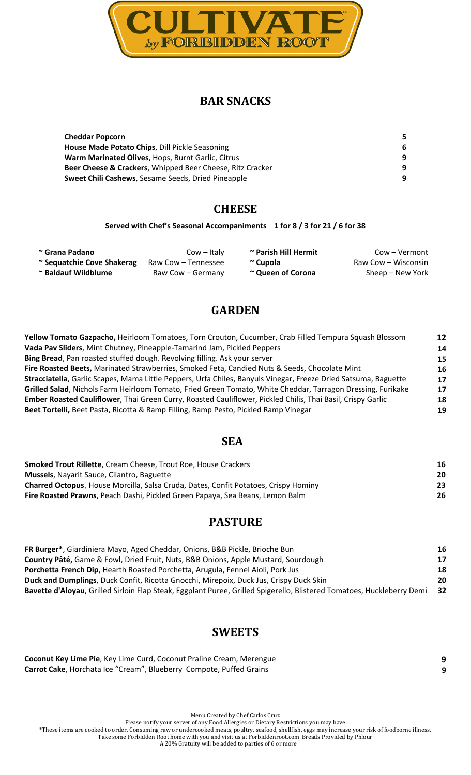

# **BAR SNACKS**

| <b>Cheddar Popcorn</b>                                    |   |
|-----------------------------------------------------------|---|
| House Made Potato Chips, Dill Pickle Seasoning            | 6 |
| Warm Marinated Olives, Hops, Burnt Garlic, Citrus         | 9 |
| Beer Cheese & Crackers, Whipped Beer Cheese, Ritz Cracker | 9 |
| <b>Sweet Chili Cashews, Sesame Seeds, Dried Pineapple</b> | 9 |

# **CHEESE**

#### **Served with Chef's Seasonal Accompaniments 1 for 8 / 3 for 21 / 6 for 38**

| ~ Grana Padano             | $Cow - Italy$       | ~ Parish Hill Hermit | Cow – Vermont       |
|----------------------------|---------------------|----------------------|---------------------|
| ~ Sequatchie Cove Shakerag | Raw Cow – Tennessee | ~ Cupola             | Raw Cow – Wisconsin |
| ~ Baldauf Wildblume        | Raw Cow – Germany   | ~ Queen of Corona    | Sheep – New York    |

# **GARDEN**

| Yellow Tomato Gazpacho, Heirloom Tomatoes, Torn Crouton, Cucumber, Crab Filled Tempura Squash Blossom           | 12 |
|-----------------------------------------------------------------------------------------------------------------|----|
| Vada Pav Sliders, Mint Chutney, Pineapple-Tamarind Jam, Pickled Peppers                                         | 14 |
| Bing Bread, Pan roasted stuffed dough. Revolving filling. Ask your server                                       | 15 |
| Fire Roasted Beets, Marinated Strawberries, Smoked Feta, Candied Nuts & Seeds, Chocolate Mint                   | 16 |
| Stracciatella, Garlic Scapes, Mama Little Peppers, Urfa Chiles, Banyuls Vinegar, Freeze Dried Satsuma, Baguette | 17 |
| Grilled Salad, Nichols Farm Heirloom Tomato, Fried Green Tomato, White Cheddar, Tarragon Dressing, Furikake     | 17 |
| Ember Roasted Cauliflower, Thai Green Curry, Roasted Cauliflower, Pickled Chilis, Thai Basil, Crispy Garlic     | 18 |
| Beet Tortelli, Beet Pasta, Ricotta & Ramp Filling, Ramp Pesto, Pickled Ramp Vinegar                             | 19 |
|                                                                                                                 |    |

## **SEA**

| <b>Smoked Trout Rillette, Cream Cheese, Trout Roe, House Crackers</b>                      | 16 |
|--------------------------------------------------------------------------------------------|----|
| <b>Mussels, Nayarit Sauce, Cilantro, Baguette</b>                                          | 20 |
| <b>Charred Octopus, House Morcilla, Salsa Cruda, Dates, Confit Potatoes, Crispy Hominy</b> | 23 |
| <b>Fire Roasted Prawns, Peach Dashi, Pickled Green Papaya, Sea Beans, Lemon Balm</b>       | 26 |

# **PASTURE**

| FR Burger*, Giardiniera Mayo, Aged Cheddar, Onions, B&B Pickle, Brioche Bun                                            | 16   |
|------------------------------------------------------------------------------------------------------------------------|------|
| Country Pâté, Game & Fowl, Dried Fruit, Nuts, B&B Onions, Apple Mustard, Sourdough                                     | 17   |
| Porchetta French Dip, Hearth Roasted Porchetta, Arugula, Fennel Aioli, Pork Jus                                        | 18   |
| Duck and Dumplings, Duck Confit, Ricotta Gnocchi, Mirepoix, Duck Jus, Crispy Duck Skin                                 | 20   |
| Bavette d'Aloyau, Grilled Sirloin Flap Steak, Eggplant Puree, Grilled Spigerello, Blistered Tomatoes, Huckleberry Demi | - 32 |

## **SWEETS**

| Coconut Key Lime Pie, Key Lime Curd, Coconut Praline Cream, Merengue |  |
|----------------------------------------------------------------------|--|
| Carrot Cake, Horchata Ice "Cream", Blueberry Compote, Puffed Grains  |  |

Menu Created by Chef Carlos Cruz

Please notify your server of any Food Allergies or Dietary Restrictions you may have

\*These items are cooked to order. Consuming raw or undercooked meats, poultry, seafood, shellfish, eggs may increase your risk of foodborne illness.

Take some Forbidden Root home with you and visit us at Forbiddenroot.com Breads Provided by Phlour A 20% Gratuity will be added to parties of 6 or more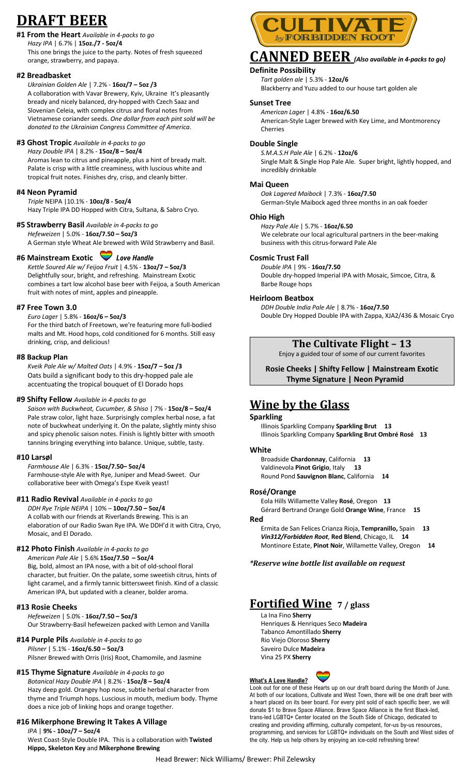# **DRAFT BEER**

## **#1 From the Heart** *Available in 4-packs to go*

*Hazy IPA* | 6.7% | **15oz./7 - 5oz/4** This one brings the juice to the party. Notes of fresh squeezed orange, strawberry, and papaya.

## **#2 Breadbasket**

### *Ukrainian Golden Ale* | 7.2% - **16oz/7 – 5oz /3**

A collaboration with Vavar Brewery, Kyiv, Ukraine It's pleasantly bready and nicely balanced, dry-hopped with Czech Saaz and Slovenian Celeia, with complex citrus and floral notes from Vietnamese coriander seeds. *One dollar from each pint sold will be donated to the Ukrainian Congress Committee of America*.

### **#3 Ghost Tropic** *Available in 4-packs to go*

*Hazy Double IPA* | 8.2% - **15oz/8 – 5oz/4** Aromas lean to citrus and pineapple, plus a hint of bready malt. Palate is crisp with a little creaminess, with luscious white and tropical fruit notes. Finishes dry, crisp, and cleanly bitter.

### **#4 Neon Pyramid**

*Triple* NEIPA |10.1% - **10oz/8 - 5oz/4** Hazy Triple IPA DD Hopped with Citra, Sultana, & Sabro Cryo.

# **#5 Strawberry Basil** *Available in 4-packs to go*

*Hefeweizen* | 5.0% - **16oz/7.50 – 5oz/3** A German style Wheat Ale brewed with Wild Strawberry and Basil.

## **#6 Mainstream Exotic** *Love Handle*

*Kettle Soured Ale w/ Feijoa Fruit* | 4.5% - **13oz/7 – 5oz/3** Delightfully sour, bright, and refreshing. Mainstream Exotic combines a tart low alcohol base beer with Feijoa, a South American fruit with notes of mint, apples and pineapple.

### **#7 Free Town 3.0**

*Euro Lager* | 5.8% - **16oz/6 – 5oz/3** For the third batch of Freetown, we're featuring more full-bodied malts and Mt. Hood hops, cold conditioned for 6 months. Still easy drinking, crisp, and delicious!

#### **#8 Backup Plan**

*Kveik Pale Ale w/ Malted Oats* | 4.9% - **15oz/7 – 5oz /3** Oats build a significant body to this dry-hopped pale ale accentuating the tropical bouquet of El Dorado hops

#### **#9 Shifty Fellow** *Available in 4-packs to go*

*Saison with Buckwheat, Cucumber, & Shiso* | 7% - **15oz/8 – 5oz/4** Pale straw color, light haze. Surprisingly complex herbal nose, a fat note of buckwheat underlying it. On the palate, slightly minty shiso and spicy phenolic saison notes. Finish is lightly bitter with smooth tannins bringing everything into balance. Unique, subtle, tasty.

#### **#10 Larsøl**

*Farmhouse Ale* | 6.3% - **15oz/7.50– 5oz/4** Farmhouse-style Ale with Rye, Juniper and Mead-Sweet. Our collaborative beer with Omega's Espe Kveik yeast!

#### **#11 Radio Revival** *Available in 4-packs to go*

*DDH Rye Triple NEIPA* | 10% – **10oz/7.50 – 5oz/4** A collab with our friends at Riverlands Brewing. This is an elaboration of our Radio Swan Rye IPA. We DDH'd it with Citra, Cryo, Mosaic, and El Dorado.

### **#12 Photo Finish** *Available in 4-packs to go*

*American Pale Ale* | 5.6% **15oz/7.50 – 5oz/4** Big, bold, almost an IPA nose, with a bit of old-school floral character, but fruitier. On the palate, some sweetish citrus, hints of light caramel, and a firmly tannic bittersweet finish. Kind of a classic American IPA, but updated with a cleaner, bolder aroma.

#### **#13 Rosie Cheeks**

*Hefeweizen* | 5.0% - **16oz/7.50 – 5oz/3** Our Strawberry-Basil hefeweizen packed with Lemon and Vanilla

## **#14 Purple Pils** *Available in 4-packs to go*

*Pilsner* | 5.1% - **16oz/6.50 – 5oz/3** Pilsner Brewed with Orris (Iris) Root, Chamomile, and Jasmine

## **#15 Thyme Signature** *Available in 4-packs to go*

*Botanical Hazy Double IPA* | 8.2% - **15oz/8 – 5oz/4** Hazy deep gold. Orangey hop nose, subtle herbal character from thyme and Triumph hops. Luscious in mouth, medium body. Thyme does a nice job of linking hops and orange together.

## **#16 Mikerphone Brewing It Takes A Village**

*IPA* | **9% - 10oz/7 – 5oz/4** West Coast-Style Double IPA. This is a collaboration with **Twisted Hippo, Skeleton Key** and **Mikerphone Brewing**



# **CANNED BEER** *(Also available in 4-packs to go)*

## **Definite Possibility**

 *Tart golden ale* | 5.3% - **12oz/6** Blackberry and Yuzu added to our house tart golden ale

#### **Sunset Tree**

*American Lager* | 4.8% - **16oz/6.50** American-Style Lager brewed with Key Lime, and Montmorency Cherries

#### **Double Single**

*S.M.A.S.H Pale Ale* | 6.2% - **12oz/6** Single Malt & Single Hop Pale Ale. Super bright, lightly hopped, and incredibly drinkable

#### **Mai Queen**

*Oak Lagered Maibock* | 7.3% - **16oz/7.50** German-Style Maibock aged three months in an oak foeder

#### **Ohio High**

*Hazy Pale Ale* | 5.7% - **16oz/6.50** We celebrate our local agricultural partners in the beer-making business with this citrus-forward Pale Ale

#### **Cosmic Trust Fall**

*Double IPA* | 9% - **16oz/7.50** Double dry-hopped Imperial IPA with Mosaic, Simcoe, Citra, & Barbe Rouge hops

#### **Heirloom Beatbox**

*DDH Double India Pale Ale* | 8.7% - **16oz/7.50** Double Dry Hopped Double IPA with Zappa, XJA2/436 & Mosaic Cryo

## **The Cultivate Flight – 13**

Enjoy a guided tour of some of our current favorites

**Rosie Cheeks | Shifty Fellow | Mainstream Exotic Thyme Signature | Neon Pyramid**

# **Wine by the Glass**

### **Sparkling**

Illinois Sparkling Company **Sparkling Brut 13** Illinois Sparkling Company **Sparkling Brut Ombré Rosé 13**

#### **White**

Broadside **Chardonnay**, California **13** Valdinevola **Pinot Grigio**, Italy **13** Round Pond **Sauvignon Blanc**, California **14**

#### **Rosé/Orange**

Eola Hills Willamette Valley **Rosé**, Oregon **13** Gérard Bertrand Orange Gold **Orange Wine**, France **15 Red** 

Ermita de San Felices Crianza Rioja, **Tempranillo,** Spain **13** *Vin312/Forbidden Root*, **Red Blend**, Chicago, IL **14** Montinore Estate, **Pinot Noir**, Willamette Valley, Oregon **14**

*\*Reserve wine bottle list available on request*

# **Fortified Wine**  $7$  / glass

La Ina Fino **Sherry** Henriques & Henriques Seco **Madeira** Tabanco Amontillado **Sherry** Rio Viejo Oloroso **Sherry** Saveiro Dulce **Madeira** Vina 25 PX **Sherry**

## **What's A Love Handle?**

Look out for one of these Hearts up on our draft board during the Month of June. At both of our locations, Cultivate and West Town, there will be one draft beer with a heart placed on its beer board. For every pint sold of each specific beer, we will donate \$1 to Brave Space Alliance. Brave Space Alliance is the first Black-led, trans-led LGBTQ+ Center located on the South Side of Chicago, dedicated to creating and providing affirming, culturally competent, for-us by-us resources, programming, and services for LGBTQ+ individuals on the South and West sides of the city. Help us help others by enjoying an ice-cold refreshing brew!